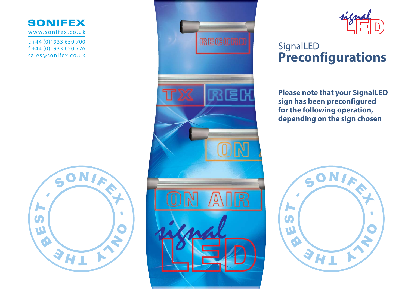## **SONIFEX**

www.sonifex.co.uk

t:+44 (0)1933 650 700 f:+44 (0)1933 650 726 sales@sonifex.co.uk







## **SignalLED Preconfigurations**

**Please note that your SignalLED sign has been preconfigured for the following operation, depending on the sign chosen**